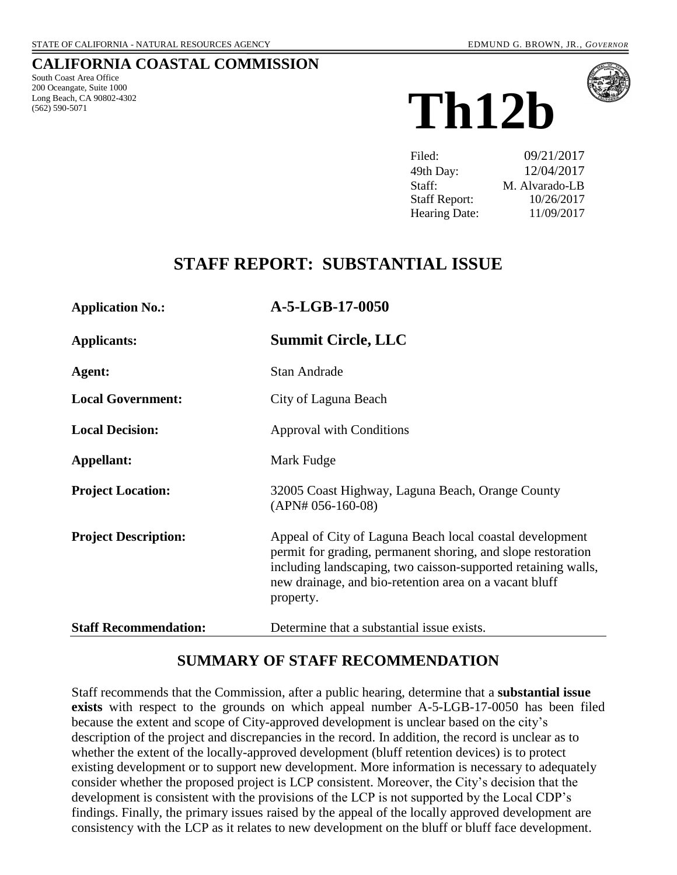### **CALIFORNIA COASTAL COMMISSION**

South Coast Area Office 200 Oceangate, Suite 1000 Long Beach, CA 90802-4302 (562) 590-5071





| Filed:               | 09/21/2017     |
|----------------------|----------------|
| 49th Day:            | 12/04/2017     |
| Staff:               | M. Alvarado-LB |
| <b>Staff Report:</b> | 10/26/2017     |
| Hearing Date:        | 11/09/2017     |

# **STAFF REPORT: SUBSTANTIAL ISSUE**

| <b>Application No.:</b>      | A-5-LGB-17-0050                                                                                                                                                                                                                                                  |
|------------------------------|------------------------------------------------------------------------------------------------------------------------------------------------------------------------------------------------------------------------------------------------------------------|
| <b>Applicants:</b>           | <b>Summit Circle, LLC</b>                                                                                                                                                                                                                                        |
| Agent:                       | <b>Stan Andrade</b>                                                                                                                                                                                                                                              |
| <b>Local Government:</b>     | City of Laguna Beach                                                                                                                                                                                                                                             |
| <b>Local Decision:</b>       | <b>Approval with Conditions</b>                                                                                                                                                                                                                                  |
| Appellant:                   | Mark Fudge                                                                                                                                                                                                                                                       |
| <b>Project Location:</b>     | 32005 Coast Highway, Laguna Beach, Orange County<br>$(APN# 056-160-08)$                                                                                                                                                                                          |
| <b>Project Description:</b>  | Appeal of City of Laguna Beach local coastal development<br>permit for grading, permanent shoring, and slope restoration<br>including landscaping, two caisson-supported retaining walls,<br>new drainage, and bio-retention area on a vacant bluff<br>property. |
| <b>Staff Recommendation:</b> | Determine that a substantial issue exists.                                                                                                                                                                                                                       |

# **SUMMARY OF STAFF RECOMMENDATION**

Staff recommends that the Commission, after a public hearing, determine that a **substantial issue exists** with respect to the grounds on which appeal number A-5-LGB-17-0050 has been filed because the extent and scope of City-approved development is unclear based on the city's description of the project and discrepancies in the record. In addition, the record is unclear as to whether the extent of the locally-approved development (bluff retention devices) is to protect existing development or to support new development. More information is necessary to adequately consider whether the proposed project is LCP consistent. Moreover, the City's decision that the development is consistent with the provisions of the LCP is not supported by the Local CDP's findings. Finally, the primary issues raised by the appeal of the locally approved development are consistency with the LCP as it relates to new development on the bluff or bluff face development.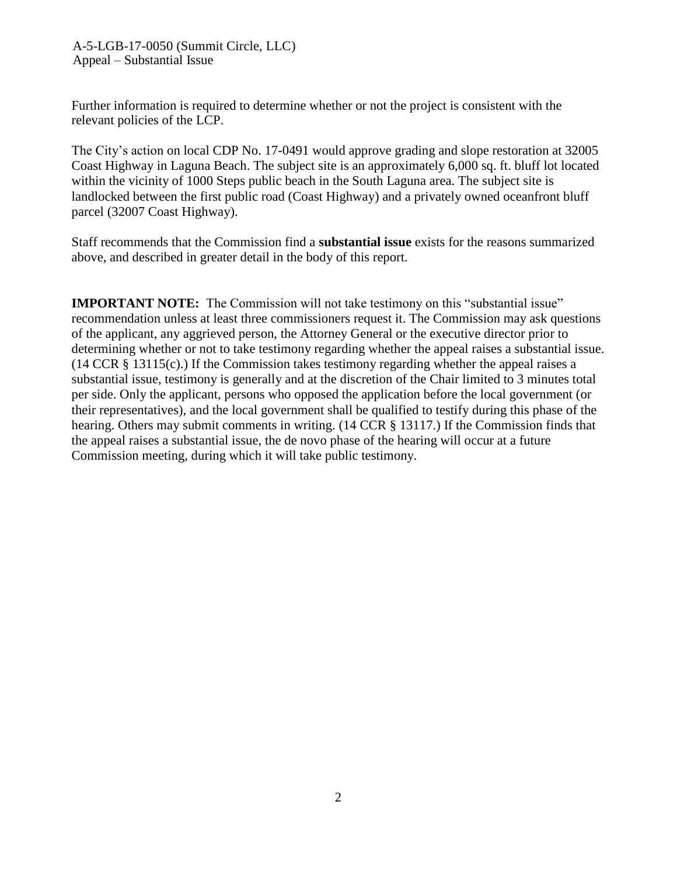A-5-LGB-17-0050 (Summit Circle, LLC) Appeal – Substantial Issue

Further information is required to determine whether or not the project is consistent with the relevant policies of the LCP.

The City's action on local CDP No. 17-0491 would approve grading and slope restoration at 32005 Coast Highway in Laguna Beach. The subject site is an approximately 6,000 sq. ft. bluff lot located within the vicinity of 1000 Steps public beach in the South Laguna area. The subject site is landlocked between the first public road (Coast Highway) and a privately owned oceanfront bluff parcel (32007 Coast Highway).

Staff recommends that the Commission find a **substantial issue** exists for the reasons summarized above, and described in greater detail in the body of this report.

**IMPORTANT NOTE:** The Commission will not take testimony on this "substantial issue" recommendation unless at least three commissioners request it. The Commission may ask questions of the applicant, any aggrieved person, the Attorney General or the executive director prior to determining whether or not to take testimony regarding whether the appeal raises a substantial issue. (14 CCR § 13115(c).) If the Commission takes testimony regarding whether the appeal raises a substantial issue, testimony is generally and at the discretion of the Chair limited to 3 minutes total per side. Only the applicant, persons who opposed the application before the local government (or their representatives), and the local government shall be qualified to testify during this phase of the hearing. Others may submit comments in writing. (14 CCR § 13117.) If the Commission finds that the appeal raises a substantial issue, the de novo phase of the hearing will occur at a future Commission meeting, during which it will take public testimony.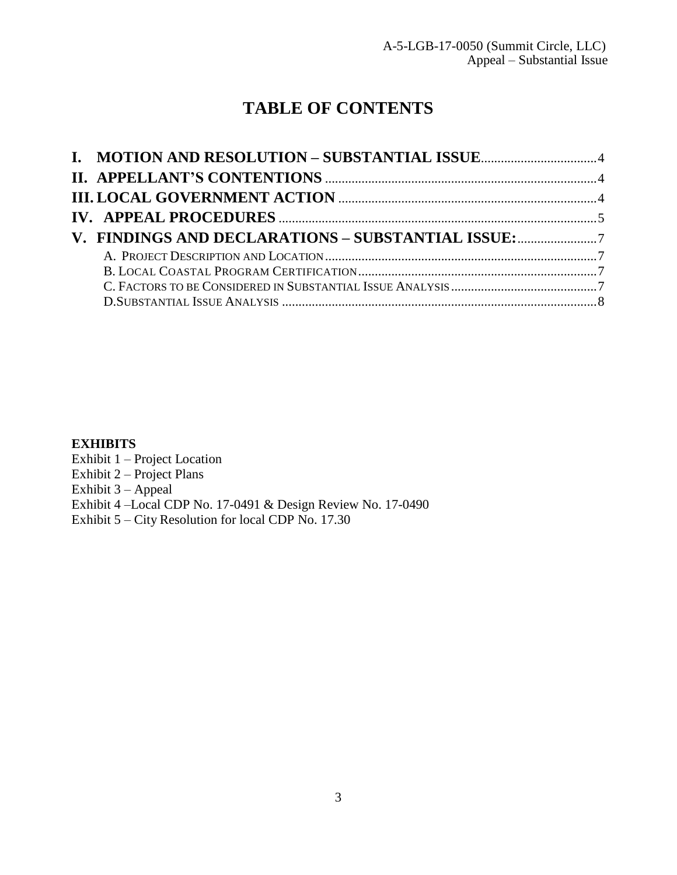# **TABLE OF CONTENTS**

| V. FINDINGS AND DECLARATIONS - SUBSTANTIAL ISSUE: |  |
|---------------------------------------------------|--|
|                                                   |  |
|                                                   |  |
|                                                   |  |
|                                                   |  |

### **EXHIBITS**

Exhibit 1 – Project Location Exhibit 2 – Project Plans Exhibit 3 – Appeal Exhibit 4 –Local CDP No. 17-0491 [& Design Review No. 17-0490](https://documents.coastal.ca.gov/reports/2017/11/Th12b/Th12b-11-2017-exhibits.pdf)  Exhibit 5 – City Resolution for local CDP No. 17.30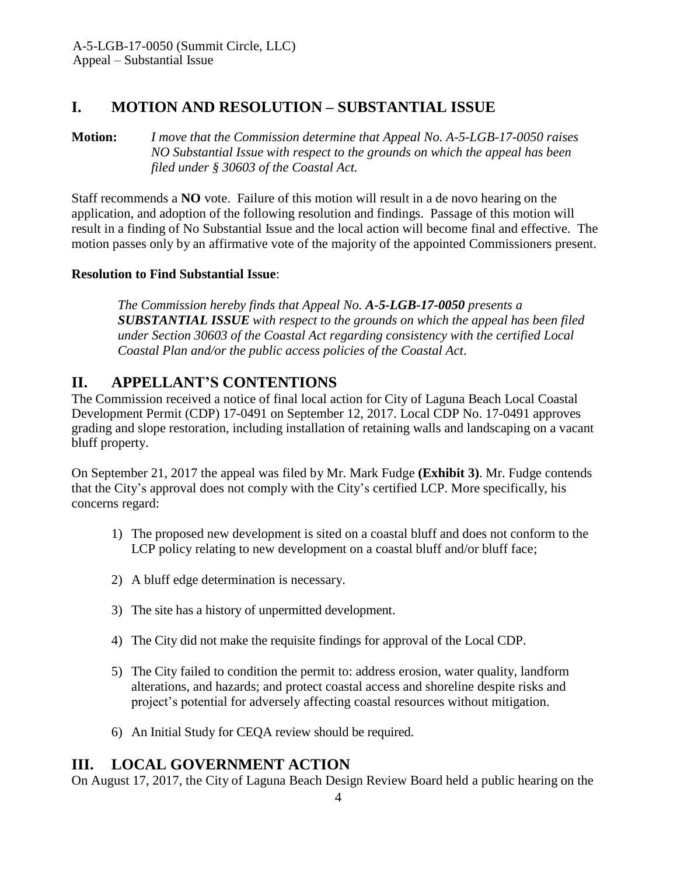# <span id="page-3-0"></span>**I. MOTION AND RESOLUTION – SUBSTANTIAL ISSUE**

**Motion:** *I move that the Commission determine that Appeal No. A-5-LGB-17-0050 raises NO Substantial Issue with respect to the grounds on which the appeal has been filed under § 30603 of the Coastal Act.*

Staff recommends a **NO** vote. Failure of this motion will result in a de novo hearing on the application, and adoption of the following resolution and findings. Passage of this motion will result in a finding of No Substantial Issue and the local action will become final and effective. The motion passes only by an affirmative vote of the majority of the appointed Commissioners present.

### **Resolution to Find Substantial Issue**:

*The Commission hereby finds that Appeal No. A-5-LGB-17-0050 presents a SUBSTANTIAL ISSUE with respect to the grounds on which the appeal has been filed under Section 30603 of the Coastal Act regarding consistency with the certified Local Coastal Plan and/or the public access policies of the Coastal Act*.

# <span id="page-3-1"></span>**II. APPELLANT'S CONTENTIONS**

The Commission received a notice of final local action for City of Laguna Beach Local Coastal Development Permit (CDP) 17-0491 on September 12, 2017. Local CDP No. 17-0491 approves grading and slope restoration, including installation of retaining walls and landscaping on a vacant bluff property.

On September 21, 2017 the appeal was filed by Mr. Mark Fudge **[\(Exhibit 3\)](https://documents.coastal.ca.gov/reports/2017/11/Th12b/Th12b-11-2017-exhibits.pdf)**. Mr. Fudge contends that the City's approval does not comply with the City's certified LCP. More specifically, his concerns regard:

- 1) The proposed new development is sited on a coastal bluff and does not conform to the LCP policy relating to new development on a coastal bluff and/or bluff face;
- 2) A bluff edge determination is necessary.
- 3) The site has a history of unpermitted development.
- 4) The City did not make the requisite findings for approval of the Local CDP.
- 5) The City failed to condition the permit to: address erosion, water quality, landform alterations, and hazards; and protect coastal access and shoreline despite risks and project's potential for adversely affecting coastal resources without mitigation.
- 6) An Initial Study for CEQA review should be required.

# <span id="page-3-2"></span>**III. LOCAL GOVERNMENT ACTION**

On August 17, 2017, the City of Laguna Beach Design Review Board held a public hearing on the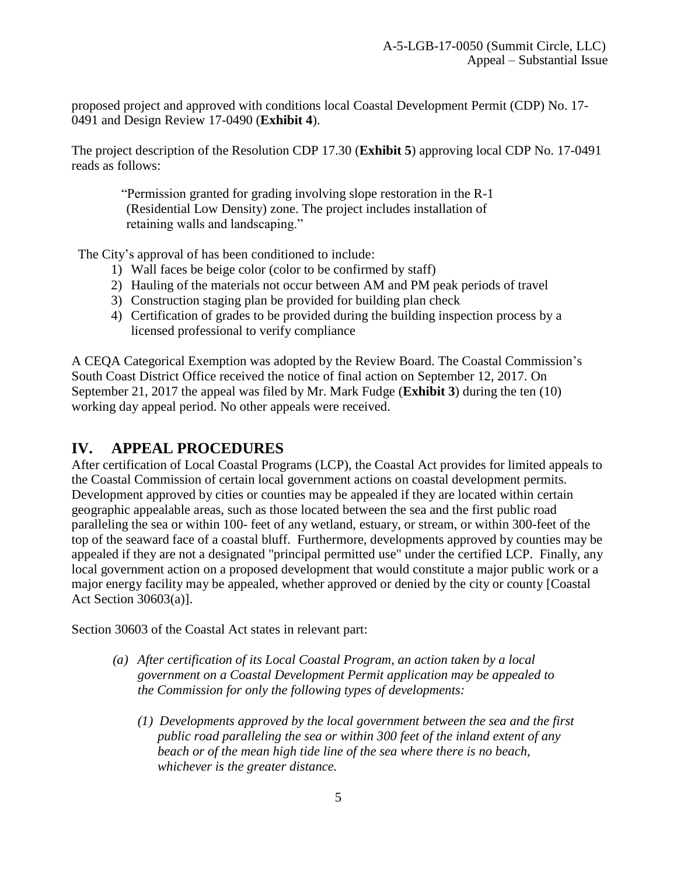proposed project and approved with conditions local Coastal Development Permit (CDP) No. 17- 0491 and Design Review 17-0490 (**[Exhibit 4](https://documents.coastal.ca.gov/reports/2017/11/Th12b/Th12b-11-2017-exhibits.pdf)**).

The project description of the Resolution CDP 17.30 (**[Exhibit 5](https://documents.coastal.ca.gov/reports/2017/11/Th12b/Th12b-11-2017-exhibits.pdf)**) approving local CDP No. 17-0491 reads as follows:

"Permission granted for grading involving slope restoration in the R-1 (Residential Low Density) zone. The project includes installation of retaining walls and landscaping."

The City's approval of has been conditioned to include:

- 1) Wall faces be beige color (color to be confirmed by staff)
- 2) Hauling of the materials not occur between AM and PM peak periods of travel
- 3) Construction staging plan be provided for building plan check
- 4) Certification of grades to be provided during the building inspection process by a licensed professional to verify compliance

A CEQA Categorical Exemption was adopted by the Review Board. The Coastal Commission's South Coast District Office received the notice of final action on September 12, 2017. On September 21, 2017 the appeal was filed by Mr. Mark Fudge (**[Exhibit 3](https://documents.coastal.ca.gov/reports/2017/11/Th12b/Th12b-11-2017-exhibits.pdf)**) during the ten (10) working day appeal period. No other appeals were received.

# <span id="page-4-0"></span>**IV. APPEAL PROCEDURES**

After certification of Local Coastal Programs (LCP), the Coastal Act provides for limited appeals to the Coastal Commission of certain local government actions on coastal development permits. Development approved by cities or counties may be appealed if they are located within certain geographic appealable areas, such as those located between the sea and the first public road paralleling the sea or within 100- feet of any wetland, estuary, or stream, or within 300-feet of the top of the seaward face of a coastal bluff. Furthermore, developments approved by counties may be appealed if they are not a designated "principal permitted use" under the certified LCP. Finally, any local government action on a proposed development that would constitute a major public work or a major energy facility may be appealed, whether approved or denied by the city or county [Coastal Act Section 30603(a)].

Section 30603 of the Coastal Act states in relevant part:

- *(a) After certification of its Local Coastal Program, an action taken by a local government on a Coastal Development Permit application may be appealed to the Commission for only the following types of developments:*
	- *(1) Developments approved by the local government between the sea and the first public road paralleling the sea or within 300 feet of the inland extent of any beach or of the mean high tide line of the sea where there is no beach, whichever is the greater distance.*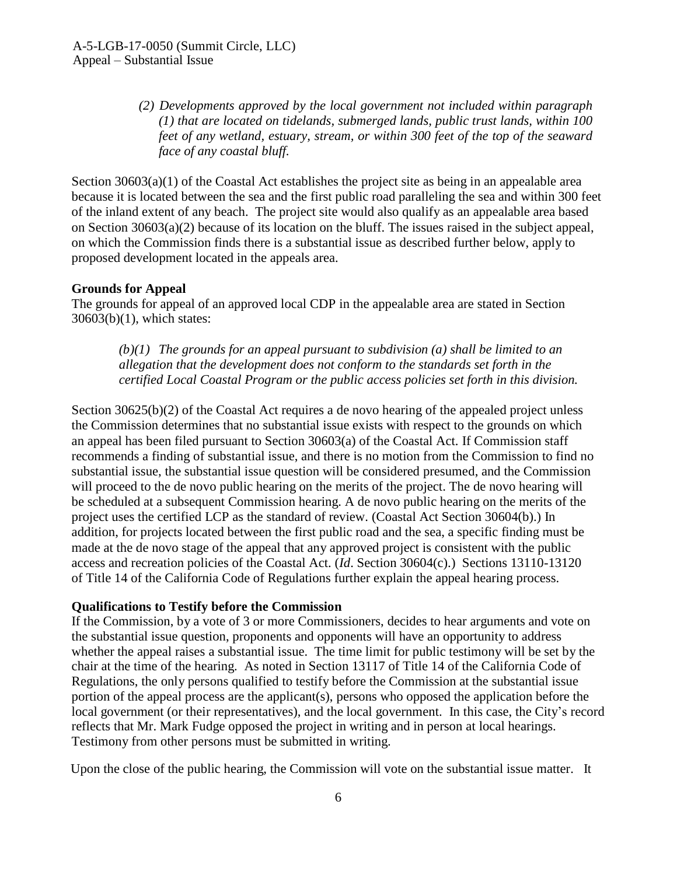*(2) Developments approved by the local government not included within paragraph (1) that are located on tidelands, submerged lands, public trust lands, within 100 feet of any wetland, estuary, stream, or within 300 feet of the top of the seaward face of any coastal bluff.*

Section  $30603(a)(1)$  of the Coastal Act establishes the project site as being in an appealable area because it is located between the sea and the first public road paralleling the sea and within 300 feet of the inland extent of any beach. The project site would also qualify as an appealable area based on Section 30603(a)(2) because of its location on the bluff. The issues raised in the subject appeal, on which the Commission finds there is a substantial issue as described further below, apply to proposed development located in the appeals area.

#### **Grounds for Appeal**

The grounds for appeal of an approved local CDP in the appealable area are stated in Section 30603(b)(1), which states:

*(b)(1) The grounds for an appeal pursuant to subdivision (a) shall be limited to an allegation that the development does not conform to the standards set forth in the certified Local Coastal Program or the public access policies set forth in this division.*

Section 30625(b)(2) of the Coastal Act requires a de novo hearing of the appealed project unless the Commission determines that no substantial issue exists with respect to the grounds on which an appeal has been filed pursuant to Section 30603(a) of the Coastal Act. If Commission staff recommends a finding of substantial issue, and there is no motion from the Commission to find no substantial issue, the substantial issue question will be considered presumed, and the Commission will proceed to the de novo public hearing on the merits of the project. The de novo hearing will be scheduled at a subsequent Commission hearing. A de novo public hearing on the merits of the project uses the certified LCP as the standard of review. (Coastal Act Section 30604(b).) In addition, for projects located between the first public road and the sea, a specific finding must be made at the de novo stage of the appeal that any approved project is consistent with the public access and recreation policies of the Coastal Act. (*Id*. Section 30604(c).) Sections 13110-13120 of Title 14 of the California Code of Regulations further explain the appeal hearing process.

#### **Qualifications to Testify before the Commission**

If the Commission, by a vote of 3 or more Commissioners, decides to hear arguments and vote on the substantial issue question, proponents and opponents will have an opportunity to address whether the appeal raises a substantial issue. The time limit for public testimony will be set by the chair at the time of the hearing. As noted in Section 13117 of Title 14 of the California Code of Regulations, the only persons qualified to testify before the Commission at the substantial issue portion of the appeal process are the applicant(s), persons who opposed the application before the local government (or their representatives), and the local government. In this case, the City's record reflects that Mr. Mark Fudge opposed the project in writing and in person at local hearings. Testimony from other persons must be submitted in writing.

Upon the close of the public hearing, the Commission will vote on the substantial issue matter. It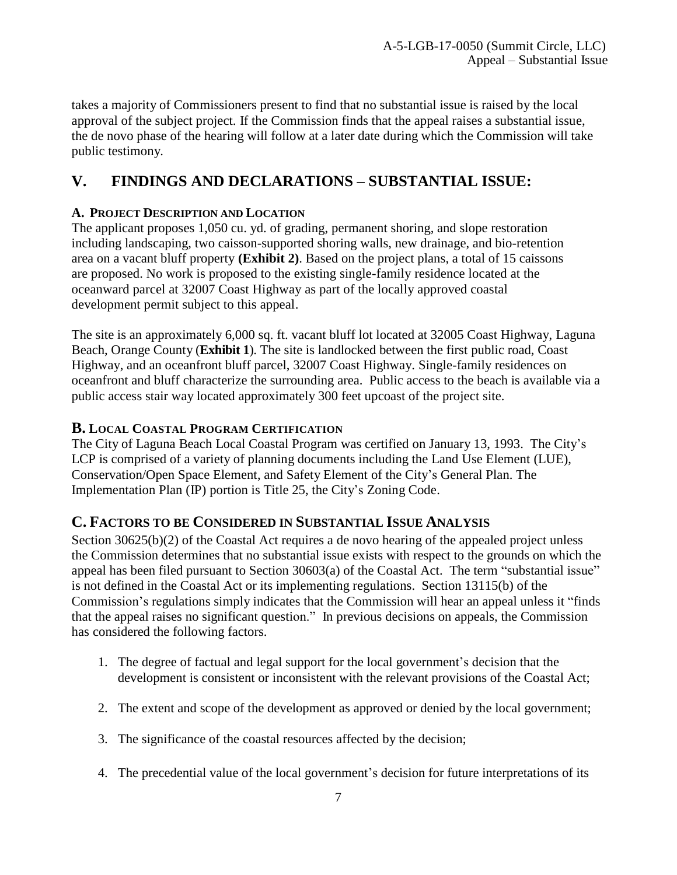takes a majority of Commissioners present to find that no substantial issue is raised by the local approval of the subject project. If the Commission finds that the appeal raises a substantial issue, the de novo phase of the hearing will follow at a later date during which the Commission will take public testimony.

# <span id="page-6-0"></span>**V. FINDINGS AND DECLARATIONS – SUBSTANTIAL ISSUE:**

## <span id="page-6-1"></span>**A. PROJECT DESCRIPTION AND LOCATION**

The applicant proposes 1,050 cu. yd. of grading, permanent shoring, and slope restoration including landscaping, two caisson-supported shoring walls, new drainage, and bio-retention area on a vacant bluff property **[\(Exhibit 2\)](https://documents.coastal.ca.gov/reports/2017/11/Th12b/Th12b-11-2017-exhibits.pdf)**. Based on the project plans, a total of 15 caissons are proposed. No work is proposed to the existing single-family residence located at the oceanward parcel at 32007 Coast Highway as part of the locally approved coastal development permit subject to this appeal.

The site is an approximately 6,000 sq. ft. vacant bluff lot located at 32005 Coast Highway, Laguna Beach, Orange County (**[Exhibit 1](https://documents.coastal.ca.gov/reports/2017/11/Th12b/Th12b-11-2017-exhibits.pdf)**). The site is landlocked between the first public road, Coast Highway, and an oceanfront bluff parcel, 32007 Coast Highway. Single-family residences on oceanfront and bluff characterize the surrounding area. Public access to the beach is available via a public access stair way located approximately 300 feet upcoast of the project site.

## <span id="page-6-2"></span>**B. LOCAL COASTAL PROGRAM CERTIFICATION**

The City of Laguna Beach Local Coastal Program was certified on January 13, 1993. The City's LCP is comprised of a variety of planning documents including the Land Use Element (LUE), Conservation/Open Space Element, and Safety Element of the City's General Plan. The Implementation Plan (IP) portion is Title 25, the City's Zoning Code.

## <span id="page-6-3"></span>**C. FACTORS TO BE CONSIDERED IN SUBSTANTIAL ISSUE ANALYSIS**

Section 30625(b)(2) of the Coastal Act requires a de novo hearing of the appealed project unless the Commission determines that no substantial issue exists with respect to the grounds on which the appeal has been filed pursuant to Section 30603(a) of the Coastal Act. The term "substantial issue" is not defined in the Coastal Act or its implementing regulations. Section 13115(b) of the Commission's regulations simply indicates that the Commission will hear an appeal unless it "finds that the appeal raises no significant question." In previous decisions on appeals, the Commission has considered the following factors.

- 1. The degree of factual and legal support for the local government's decision that the development is consistent or inconsistent with the relevant provisions of the Coastal Act;
- 2. The extent and scope of the development as approved or denied by the local government;
- 3. The significance of the coastal resources affected by the decision;
- 4. The precedential value of the local government's decision for future interpretations of its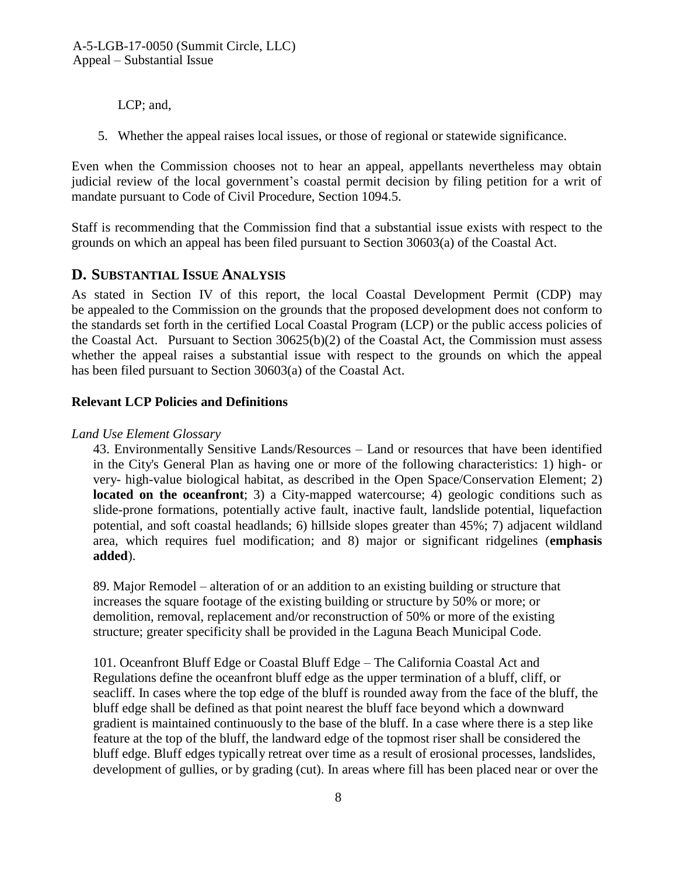LCP; and,

5. Whether the appeal raises local issues, or those of regional or statewide significance.

Even when the Commission chooses not to hear an appeal, appellants nevertheless may obtain judicial review of the local government's coastal permit decision by filing petition for a writ of mandate pursuant to Code of Civil Procedure, Section 1094.5.

Staff is recommending that the Commission find that a substantial issue exists with respect to the grounds on which an appeal has been filed pursuant to Section 30603(a) of the Coastal Act.

## <span id="page-7-0"></span>**D. SUBSTANTIAL ISSUE ANALYSIS**

As stated in Section IV of this report, the local Coastal Development Permit (CDP) may be appealed to the Commission on the grounds that the proposed development does not conform to the standards set forth in the certified Local Coastal Program (LCP) or the public access policies of the Coastal Act. Pursuant to Section 30625(b)(2) of the Coastal Act, the Commission must assess whether the appeal raises a substantial issue with respect to the grounds on which the appeal has been filed pursuant to Section 30603(a) of the Coastal Act.

#### **Relevant LCP Policies and Definitions**

#### *Land Use Element Glossary*

43. Environmentally Sensitive Lands/Resources – Land or resources that have been identified in the City's General Plan as having one or more of the following characteristics: 1) high- or very- high-value biological habitat, as described in the Open Space/Conservation Element; 2) **located on the oceanfront**; 3) a City-mapped watercourse; 4) geologic conditions such as slide-prone formations, potentially active fault, inactive fault, landslide potential, liquefaction potential, and soft coastal headlands; 6) hillside slopes greater than 45%; 7) adjacent wildland area, which requires fuel modification; and 8) major or significant ridgelines (**emphasis added**).

89. Major Remodel – alteration of or an addition to an existing building or structure that increases the square footage of the existing building or structure by 50% or more; or demolition, removal, replacement and/or reconstruction of 50% or more of the existing structure; greater specificity shall be provided in the Laguna Beach Municipal Code.

101. Oceanfront Bluff Edge or Coastal Bluff Edge – The California Coastal Act and Regulations define the oceanfront bluff edge as the upper termination of a bluff, cliff, or seacliff. In cases where the top edge of the bluff is rounded away from the face of the bluff, the bluff edge shall be defined as that point nearest the bluff face beyond which a downward gradient is maintained continuously to the base of the bluff. In a case where there is a step like feature at the top of the bluff, the landward edge of the topmost riser shall be considered the bluff edge. Bluff edges typically retreat over time as a result of erosional processes, landslides, development of gullies, or by grading (cut). In areas where fill has been placed near or over the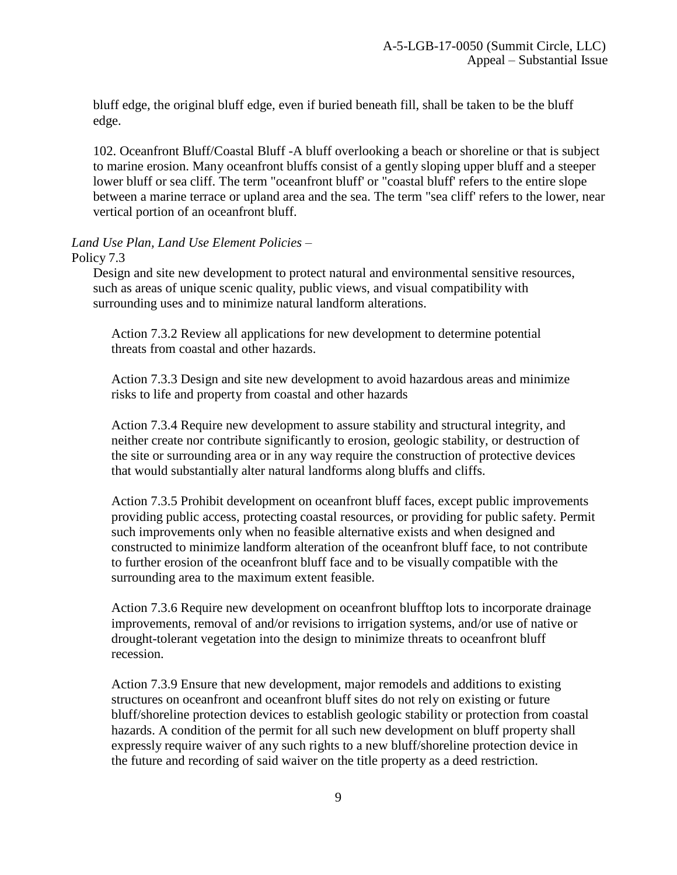bluff edge, the original bluff edge, even if buried beneath fill, shall be taken to be the bluff edge.

102. Oceanfront Bluff/Coastal Bluff -A bluff overlooking a beach or shoreline or that is subject to marine erosion. Many oceanfront bluffs consist of a gently sloping upper bluff and a steeper lower bluff or sea cliff. The term "oceanfront bluff' or "coastal bluff' refers to the entire slope between a marine terrace or upland area and the sea. The term "sea cliff' refers to the lower, near vertical portion of an oceanfront bluff.

# *Land Use Plan, Land Use Element Policies* –

Policy 7.3

Design and site new development to protect natural and environmental sensitive resources, such as areas of unique scenic quality, public views, and visual compatibility with surrounding uses and to minimize natural landform alterations.

Action 7.3.2 Review all applications for new development to determine potential threats from coastal and other hazards.

Action 7.3.3 Design and site new development to avoid hazardous areas and minimize risks to life and property from coastal and other hazards

Action 7.3.4 Require new development to assure stability and structural integrity, and neither create nor contribute significantly to erosion, geologic stability, or destruction of the site or surrounding area or in any way require the construction of protective devices that would substantially alter natural landforms along bluffs and cliffs.

Action 7.3.5 Prohibit development on oceanfront bluff faces, except public improvements providing public access, protecting coastal resources, or providing for public safety. Permit such improvements only when no feasible alternative exists and when designed and constructed to minimize landform alteration of the oceanfront bluff face, to not contribute to further erosion of the oceanfront bluff face and to be visually compatible with the surrounding area to the maximum extent feasible.

Action 7.3.6 Require new development on oceanfront blufftop lots to incorporate drainage improvements, removal of and/or revisions to irrigation systems, and/or use of native or drought-tolerant vegetation into the design to minimize threats to oceanfront bluff recession.

Action 7.3.9 Ensure that new development, major remodels and additions to existing structures on oceanfront and oceanfront bluff sites do not rely on existing or future bluff/shoreline protection devices to establish geologic stability or protection from coastal hazards. A condition of the permit for all such new development on bluff property shall expressly require waiver of any such rights to a new bluff/shoreline protection device in the future and recording of said waiver on the title property as a deed restriction.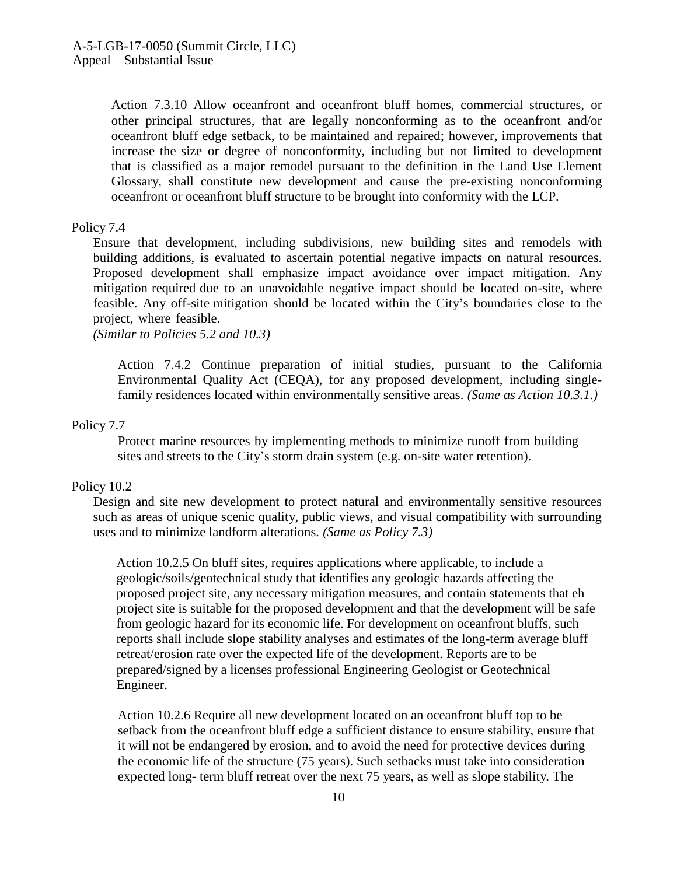Action 7.3.10 Allow oceanfront and oceanfront bluff homes, commercial structures, or other principal structures, that are legally nonconforming as to the oceanfront and/or oceanfront bluff edge setback, to be maintained and repaired; however, improvements that increase the size or degree of nonconformity, including but not limited to development that is classified as a major remodel pursuant to the definition in the Land Use Element Glossary, shall constitute new development and cause the pre-existing nonconforming oceanfront or oceanfront bluff structure to be brought into conformity with the LCP.

#### Policy 7.4

Ensure that development, including subdivisions, new building sites and remodels with building additions, is evaluated to ascertain potential negative impacts on natural resources. Proposed development shall emphasize impact avoidance over impact mitigation. Any mitigation required due to an unavoidable negative impact should be located on-site, where feasible. Any off-site mitigation should be located within the City's boundaries close to the project, where feasible.

*(Similar to Policies 5.2 and 10.3)*

Action 7.4.2 Continue preparation of initial studies, pursuant to the California Environmental Quality Act (CEQA), for any proposed development, including singlefamily residences located within environmentally sensitive areas. *(Same as Action 10.3.1.)*

#### Policy 7.7

Protect marine resources by implementing methods to minimize runoff from building sites and streets to the City's storm drain system (e.g. on-site water retention).

#### Policy 10.2

Design and site new development to protect natural and environmentally sensitive resources such as areas of unique scenic quality, public views, and visual compatibility with surrounding uses and to minimize landform alterations. *(Same as Policy 7.3)*

Action 10.2.5 On bluff sites, requires applications where applicable, to include a geologic/soils/geotechnical study that identifies any geologic hazards affecting the proposed project site, any necessary mitigation measures, and contain statements that eh project site is suitable for the proposed development and that the development will be safe from geologic hazard for its economic life. For development on oceanfront bluffs, such reports shall include slope stability analyses and estimates of the long-term average bluff retreat/erosion rate over the expected life of the development. Reports are to be prepared/signed by a licenses professional Engineering Geologist or Geotechnical Engineer.

Action 10.2.6 Require all new development located on an oceanfront bluff top to be setback from the oceanfront bluff edge a sufficient distance to ensure stability, ensure that it will not be endangered by erosion, and to avoid the need for protective devices during the economic life of the structure (75 years). Such setbacks must take into consideration expected long- term bluff retreat over the next 75 years, as well as slope stability. The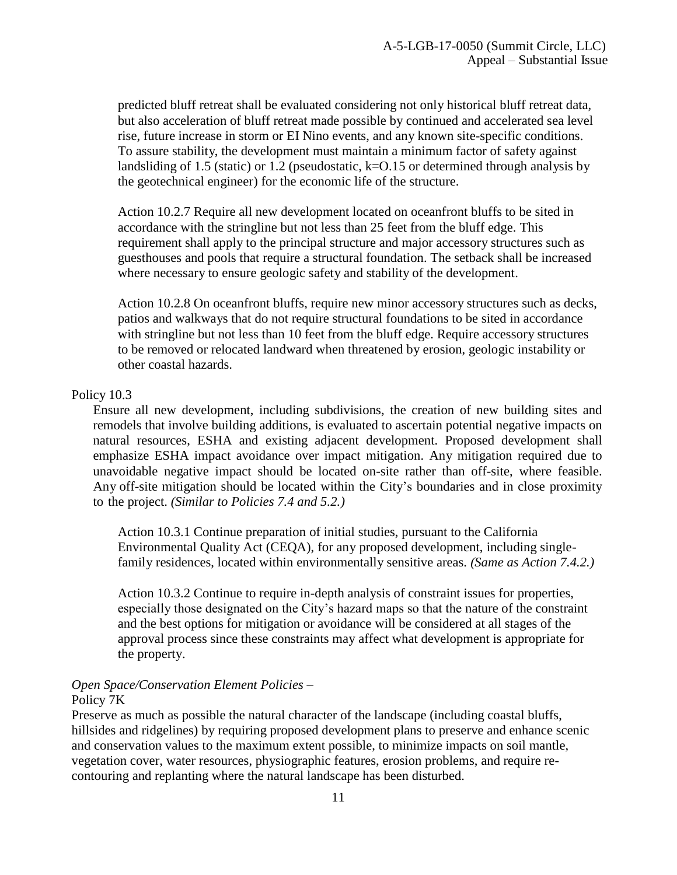predicted bluff retreat shall be evaluated considering not only historical bluff retreat data, but also acceleration of bluff retreat made possible by continued and accelerated sea level rise, future increase in storm or EI Nino events, and any known site-specific conditions. To assure stability, the development must maintain a minimum factor of safety against landsliding of 1.5 (static) or 1.2 (pseudostatic, k=O.15 or determined through analysis by the geotechnical engineer) for the economic life of the structure.

Action 10.2.7 Require all new development located on oceanfront bluffs to be sited in accordance with the stringline but not less than 25 feet from the bluff edge. This requirement shall apply to the principal structure and major accessory structures such as guesthouses and pools that require a structural foundation. The setback shall be increased where necessary to ensure geologic safety and stability of the development.

Action 10.2.8 On oceanfront bluffs, require new minor accessory structures such as decks, patios and walkways that do not require structural foundations to be sited in accordance with stringline but not less than 10 feet from the bluff edge. Require accessory structures to be removed or relocated landward when threatened by erosion, geologic instability or other coastal hazards.

#### Policy 10.3

Ensure all new development, including subdivisions, the creation of new building sites and remodels that involve building additions, is evaluated to ascertain potential negative impacts on natural resources, ESHA and existing adjacent development. Proposed development shall emphasize ESHA impact avoidance over impact mitigation. Any mitigation required due to unavoidable negative impact should be located on-site rather than off-site, where feasible. Any off-site mitigation should be located within the City's boundaries and in close proximity to the project. *(Similar to Policies 7.4 and 5.2.)*

Action 10.3.1 Continue preparation of initial studies, pursuant to the California Environmental Quality Act (CEQA), for any proposed development, including singlefamily residences, located within environmentally sensitive areas. *(Same as Action 7.4.2.)*

Action 10.3.2 Continue to require in-depth analysis of constraint issues for properties, especially those designated on the City's hazard maps so that the nature of the constraint and the best options for mitigation or avoidance will be considered at all stages of the approval process since these constraints may affect what development is appropriate for the property.

#### *Open Space/Conservation Element Policies* – Policy 7K

Preserve as much as possible the natural character of the landscape (including coastal bluffs, hillsides and ridgelines) by requiring proposed development plans to preserve and enhance scenic and conservation values to the maximum extent possible, to minimize impacts on soil mantle, vegetation cover, water resources, physiographic features, erosion problems, and require recontouring and replanting where the natural landscape has been disturbed.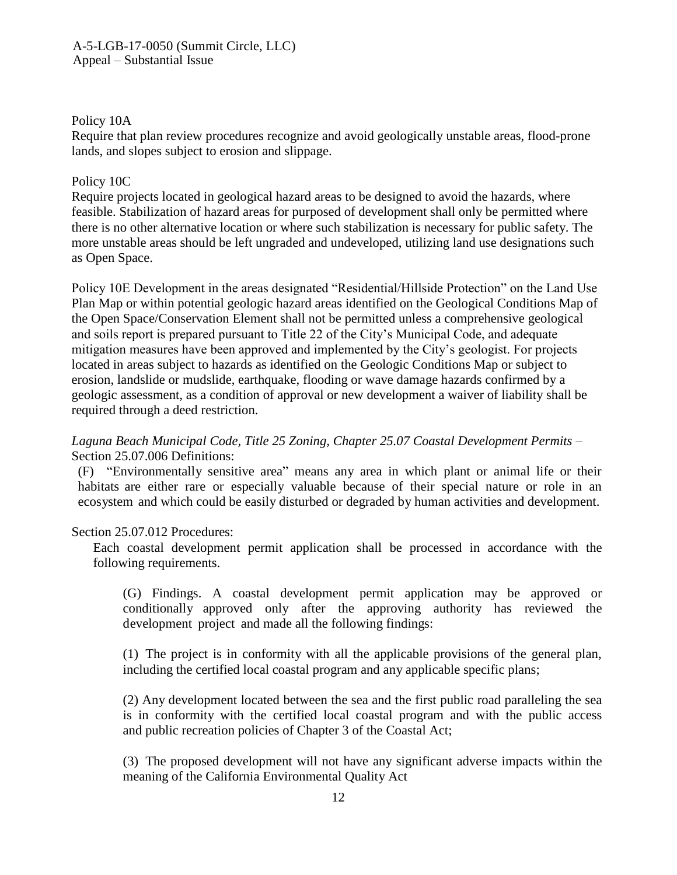#### A-5-LGB-17-0050 (Summit Circle, LLC) Appeal – Substantial Issue

#### Policy 10A

Require that plan review procedures recognize and avoid geologically unstable areas, flood-prone lands, and slopes subject to erosion and slippage.

#### Policy 10C

Require projects located in geological hazard areas to be designed to avoid the hazards, where feasible. Stabilization of hazard areas for purposed of development shall only be permitted where there is no other alternative location or where such stabilization is necessary for public safety. The more unstable areas should be left ungraded and undeveloped, utilizing land use designations such as Open Space.

Policy 10E Development in the areas designated "Residential/Hillside Protection" on the Land Use Plan Map or within potential geologic hazard areas identified on the Geological Conditions Map of the Open Space/Conservation Element shall not be permitted unless a comprehensive geological and soils report is prepared pursuant to Title 22 of the City's Municipal Code, and adequate mitigation measures have been approved and implemented by the City's geologist. For projects located in areas subject to hazards as identified on the Geologic Conditions Map or subject to erosion, landslide or mudslide, earthquake, flooding or wave damage hazards confirmed by a geologic assessment, as a condition of approval or new development a waiver of liability shall be required through a deed restriction.

#### *Laguna Beach Municipal Code, Title 25 Zoning, Chapter 25.07 Coastal Development Permits* – Section 25.07.006 Definitions:

(F) "Environmentally sensitive area" means any area in which plant or animal life or their habitats are either rare or especially valuable because of their special nature or role in an ecosystem and which could be easily disturbed or degraded by human activities and development.

#### Section 25.07.012 Procedures:

Each coastal development permit application shall be processed in accordance with the following requirements.

(G) Findings. A coastal development permit application may be approved or conditionally approved only after the approving authority has reviewed the development project and made all the following findings:

(1) The project is in conformity with all the applicable provisions of the general plan, including the certified local coastal program and any applicable specific plans;

(2) Any development located between the sea and the first public road paralleling the sea is in conformity with the certified local coastal program and with the public access and public recreation policies of Chapter 3 of the Coastal Act;

(3) The proposed development will not have any significant adverse impacts within the meaning of the California Environmental Quality Act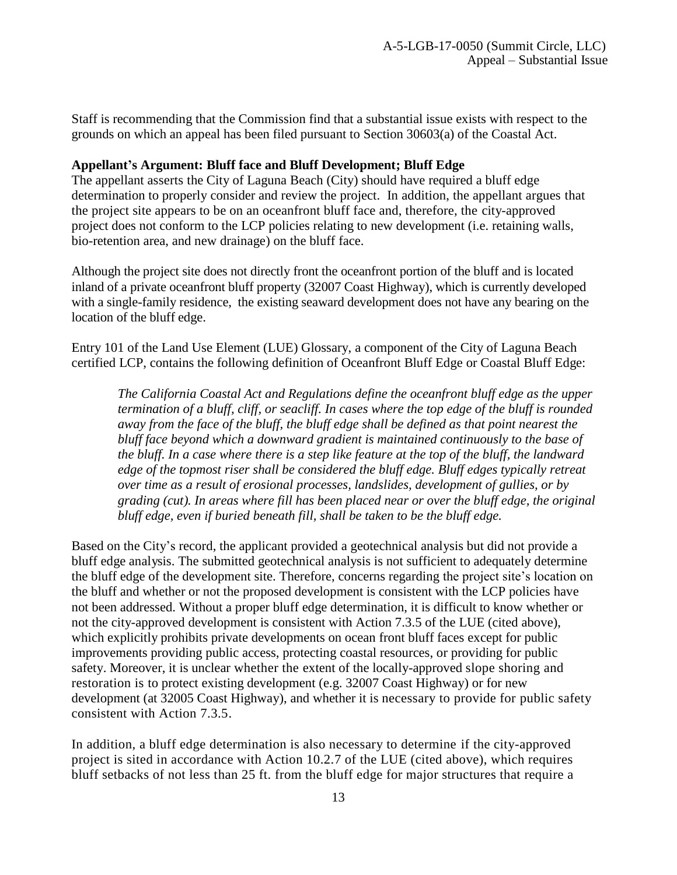Staff is recommending that the Commission find that a substantial issue exists with respect to the grounds on which an appeal has been filed pursuant to Section 30603(a) of the Coastal Act.

#### **Appellant's Argument: Bluff face and Bluff Development; Bluff Edge**

The appellant asserts the City of Laguna Beach (City) should have required a bluff edge determination to properly consider and review the project. In addition, the appellant argues that the project site appears to be on an oceanfront bluff face and, therefore, the city-approved project does not conform to the LCP policies relating to new development (i.e. retaining walls, bio-retention area, and new drainage) on the bluff face.

Although the project site does not directly front the oceanfront portion of the bluff and is located inland of a private oceanfront bluff property (32007 Coast Highway), which is currently developed with a single-family residence, the existing seaward development does not have any bearing on the location of the bluff edge.

Entry 101 of the Land Use Element (LUE) Glossary, a component of the City of Laguna Beach certified LCP, contains the following definition of Oceanfront Bluff Edge or Coastal Bluff Edge:

*The California Coastal Act and Regulations define the oceanfront bluff edge as the upper termination of a bluff, cliff, or seacliff. In cases where the top edge of the bluff is rounded away from the face of the bluff, the bluff edge shall be defined as that point nearest the bluff face beyond which a downward gradient is maintained continuously to the base of the bluff. In a case where there is a step like feature at the top of the bluff, the landward edge of the topmost riser shall be considered the bluff edge. Bluff edges typically retreat over time as a result of erosional processes, landslides, development of gullies, or by grading (cut). In areas where fill has been placed near or over the bluff edge, the original bluff edge, even if buried beneath fill, shall be taken to be the bluff edge.*

Based on the City's record, the applicant provided a geotechnical analysis but did not provide a bluff edge analysis. The submitted geotechnical analysis is not sufficient to adequately determine the bluff edge of the development site. Therefore, concerns regarding the project site's location on the bluff and whether or not the proposed development is consistent with the LCP policies have not been addressed. Without a proper bluff edge determination, it is difficult to know whether or not the city-approved development is consistent with Action 7.3.5 of the LUE (cited above), which explicitly prohibits private developments on ocean front bluff faces except for public improvements providing public access, protecting coastal resources, or providing for public safety. Moreover, it is unclear whether the extent of the locally-approved slope shoring and restoration is to protect existing development (e.g. 32007 Coast Highway) or for new development (at 32005 Coast Highway), and whether it is necessary to provide for public safety consistent with Action 7.3.5.

In addition, a bluff edge determination is also necessary to determine if the city-approved project is sited in accordance with Action 10.2.7 of the LUE (cited above), which requires bluff setbacks of not less than 25 ft. from the bluff edge for major structures that require a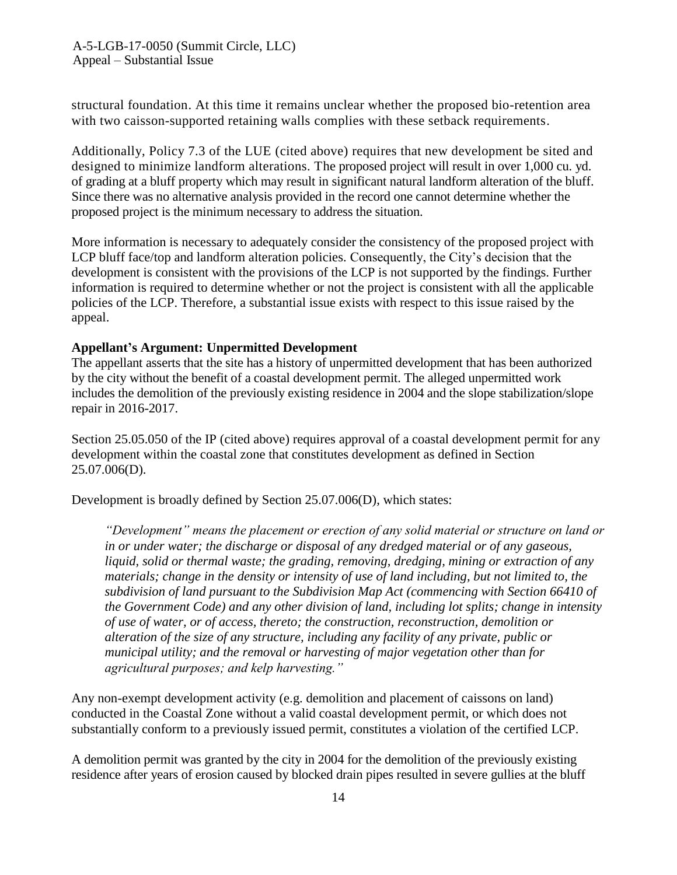structural foundation. At this time it remains unclear whether the proposed bio-retention area with two caisson-supported retaining walls complies with these setback requirements.

Additionally, Policy 7.3 of the LUE (cited above) requires that new development be sited and designed to minimize landform alterations. The proposed project will result in over 1,000 cu. yd. of grading at a bluff property which may result in significant natural landform alteration of the bluff. Since there was no alternative analysis provided in the record one cannot determine whether the proposed project is the minimum necessary to address the situation.

More information is necessary to adequately consider the consistency of the proposed project with LCP bluff face/top and landform alteration policies. Consequently, the City's decision that the development is consistent with the provisions of the LCP is not supported by the findings. Further information is required to determine whether or not the project is consistent with all the applicable policies of the LCP. Therefore, a substantial issue exists with respect to this issue raised by the appeal.

#### **Appellant's Argument: Unpermitted Development**

The appellant asserts that the site has a history of unpermitted development that has been authorized by the city without the benefit of a coastal development permit. The alleged unpermitted work includes the demolition of the previously existing residence in 2004 and the slope stabilization/slope repair in 2016-2017.

Section 25.05.050 of the IP (cited above) requires approval of a coastal development permit for any development within the coastal zone that constitutes development as defined in Section 25.07.006(D).

Development is broadly defined by Section 25.07.006(D), which states:

*"Development" means the placement or erection of any solid material or structure on land or in or under water; the discharge or disposal of any dredged material or of any gaseous, liquid, solid or thermal waste; the grading, removing, dredging, mining or extraction of any materials; change in the density or intensity of use of land including, but not limited to, the subdivision of land pursuant to the Subdivision Map Act (commencing with Section 66410 of the Government Code) and any other division of land, including lot splits; change in intensity of use of water, or of access, thereto; the construction, reconstruction, demolition or alteration of the size of any structure, including any facility of any private, public or municipal utility; and the removal or harvesting of major vegetation other than for agricultural purposes; and kelp harvesting."*

Any non-exempt development activity (e.g. demolition and placement of caissons on land) conducted in the Coastal Zone without a valid coastal development permit, or which does not substantially conform to a previously issued permit, constitutes a violation of the certified LCP.

A demolition permit was granted by the city in 2004 for the demolition of the previously existing residence after years of erosion caused by blocked drain pipes resulted in severe gullies at the bluff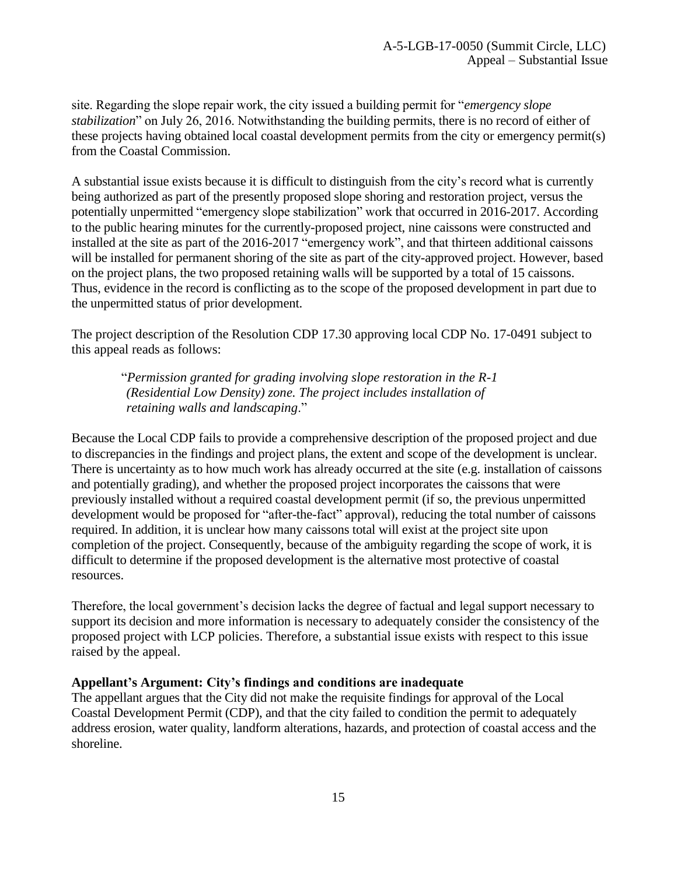site. Regarding the slope repair work, the city issued a building permit for "*emergency slope stabilization*" on July 26, 2016. Notwithstanding the building permits, there is no record of either of these projects having obtained local coastal development permits from the city or emergency permit(s) from the Coastal Commission.

A substantial issue exists because it is difficult to distinguish from the city's record what is currently being authorized as part of the presently proposed slope shoring and restoration project, versus the potentially unpermitted "emergency slope stabilization" work that occurred in 2016-2017. According to the public hearing minutes for the currently-proposed project, nine caissons were constructed and installed at the site as part of the 2016-2017 "emergency work", and that thirteen additional caissons will be installed for permanent shoring of the site as part of the city-approved project. However, based on the project plans, the two proposed retaining walls will be supported by a total of 15 caissons. Thus, evidence in the record is conflicting as to the scope of the proposed development in part due to the unpermitted status of prior development.

[The project description of the Resolution CDP 17.30 approving local CDP No. 17-0491 subject to](https://documents.coastal.ca.gov/reports/2017/8/w12a/w12a-8-2017-exhibits.pdf)  [this appeal reads as follows:](https://documents.coastal.ca.gov/reports/2017/8/w12a/w12a-8-2017-exhibits.pdf)

"*Permission granted for grading involving slope restoration in the R-1 (Residential Low Density) zone. The project includes installation of retaining walls and landscaping*."

Because the Local CDP fails to provide a comprehensive description of the proposed project and due to discrepancies in the findings and project plans, the extent and scope of the development is unclear. There is uncertainty as to how much work has already occurred at the site (e.g. installation of caissons and potentially grading), and whether the proposed project incorporates the caissons that were previously installed without a required coastal development permit (if so, the previous unpermitted development would be proposed for "after-the-fact" approval), reducing the total number of caissons required. In addition, it is unclear how many caissons total will exist at the project site upon completion of the project. Consequently, because of the ambiguity regarding the scope of work, it is difficult to determine if the proposed development is the alternative most protective of coastal resources.

Therefore, the local government's decision lacks the degree of factual and legal support necessary to support its decision and more information is necessary to adequately consider the consistency of the proposed project with LCP policies. Therefore, a substantial issue exists with respect to this issue raised by the appeal.

#### **Appellant's Argument: City's findings and conditions are inadequate**

The appellant argues that the City did not make the requisite findings for approval of the Local Coastal Development Permit (CDP), and that the city failed to condition the permit to adequately address erosion, water quality, landform alterations, hazards, and protection of coastal access and the shoreline.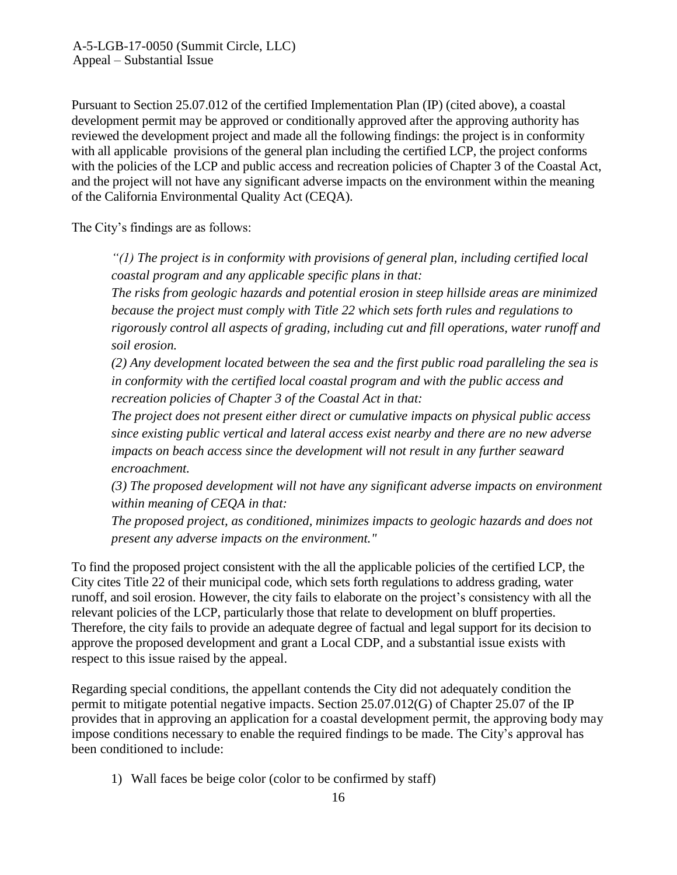Pursuant to Section 25.07.012 of the certified Implementation Plan (IP) (cited above), a coastal development permit may be approved or conditionally approved after the approving authority has reviewed the development project and made all the following findings: the project is in conformity with all applicable provisions of the general plan including the certified LCP, the project conforms with the policies of the LCP and public access and recreation policies of Chapter 3 of the Coastal Act, and the project will not have any significant adverse impacts on the environment within the meaning of the California Environmental Quality Act (CEQA).

The City's findings are as follows:

*"(1) The project is in conformity with provisions of general plan, including certified local coastal program and any applicable specific plans in that:* 

*The risks from geologic hazards and potential erosion in steep hillside areas are minimized because the project must comply with Title 22 which sets forth rules and regulations to rigorously control all aspects of grading, including cut and fill operations, water runoff and soil erosion.*

*(2) Any development located between the sea and the first public road paralleling the sea is in conformity with the certified local coastal program and with the public access and recreation policies of Chapter 3 of the Coastal Act in that:* 

*The project does not present either direct or cumulative impacts on physical public access since existing public vertical and lateral access exist nearby and there are no new adverse impacts on beach access since the development will not result in any further seaward encroachment.*

*(3) The proposed development will not have any significant adverse impacts on environment within meaning of CEQA in that:* 

*The proposed project, as conditioned, minimizes impacts to geologic hazards and does not present any adverse impacts on the environment."*

To find the proposed project consistent with the all the applicable policies of the certified LCP, the City cites Title 22 of their municipal code, which sets forth regulations to address grading, water runoff, and soil erosion. However, the city fails to elaborate on the project's consistency with all the relevant policies of the LCP, particularly those that relate to development on bluff properties. Therefore, the city fails to provide an adequate degree of factual and legal support for its decision to approve the proposed development and grant a Local CDP, and a substantial issue exists with respect to this issue raised by the appeal.

Regarding special conditions, the appellant contends the City did not adequately condition the permit to mitigate potential negative impacts. Section 25.07.012(G) of Chapter 25.07 of the IP provides that in approving an application for a coastal development permit, the approving body may impose conditions necessary to enable the required findings to be made. The City's approval has been conditioned to include:

1) Wall faces be beige color (color to be confirmed by staff)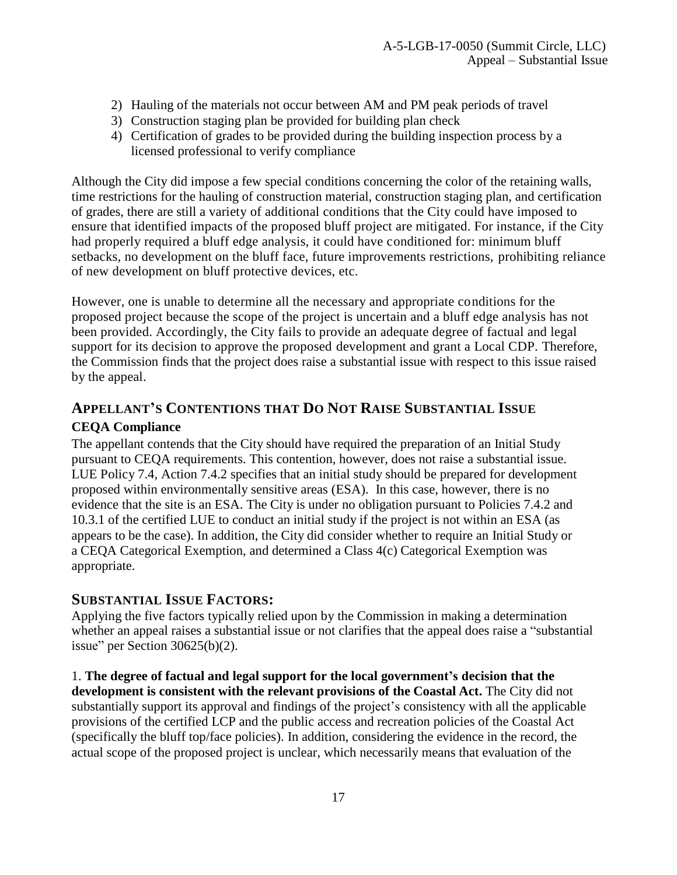- 2) Hauling of the materials not occur between AM and PM peak periods of travel
- 3) Construction staging plan be provided for building plan check
- 4) Certification of grades to be provided during the building inspection process by a licensed professional to verify compliance

Although the City did impose a few special conditions concerning the color of the retaining walls, time restrictions for the hauling of construction material, construction staging plan, and certification of grades, there are still a variety of additional conditions that the City could have imposed to ensure that identified impacts of the proposed bluff project are mitigated. For instance, if the City had properly required a bluff edge analysis, it could have conditioned for: minimum bluff setbacks, no development on the bluff face, future improvements restrictions, prohibiting reliance of new development on bluff protective devices, etc.

However, one is unable to determine all the necessary and appropriate conditions for the proposed project because the scope of the project is uncertain and a bluff edge analysis has not been provided. Accordingly, the City fails to provide an adequate degree of factual and legal support for its decision to approve the proposed development and grant a Local CDP. Therefore, the Commission finds that the project does raise a substantial issue with respect to this issue raised by the appeal.

# **APPELLANT'S CONTENTIONS THAT DO NOT RAISE SUBSTANTIAL ISSUE**

## **CEQA Compliance**

The appellant contends that the City should have required the preparation of an Initial Study pursuant to CEQA requirements. This contention, however, does not raise a substantial issue. LUE Policy 7.4, Action 7.4.2 specifies that an initial study should be prepared for development proposed within environmentally sensitive areas (ESA). In this case, however, there is no evidence that the site is an ESA. The City is under no obligation pursuant to Policies 7.4.2 and 10.3.1 of the certified LUE to conduct an initial study if the project is not within an ESA (as appears to be the case). In addition, the City did consider whether to require an Initial Study or a CEQA Categorical Exemption, and determined a Class 4(c) Categorical Exemption was appropriate.

## **SUBSTANTIAL ISSUE FACTORS:**

Applying the five factors typically relied upon by the Commission in making a determination whether an appeal raises a substantial issue or not clarifies that the appeal does raise a "substantial issue" per Section  $30625(b)(2)$ .

1. **The degree of factual and legal support for the local government's decision that the development is consistent with the relevant provisions of the Coastal Act.** The City did not substantially support its approval and findings of the project's consistency with all the applicable provisions of the certified LCP and the public access and recreation policies of the Coastal Act (specifically the bluff top/face policies). In addition, considering the evidence in the record, the actual scope of the proposed project is unclear, which necessarily means that evaluation of the